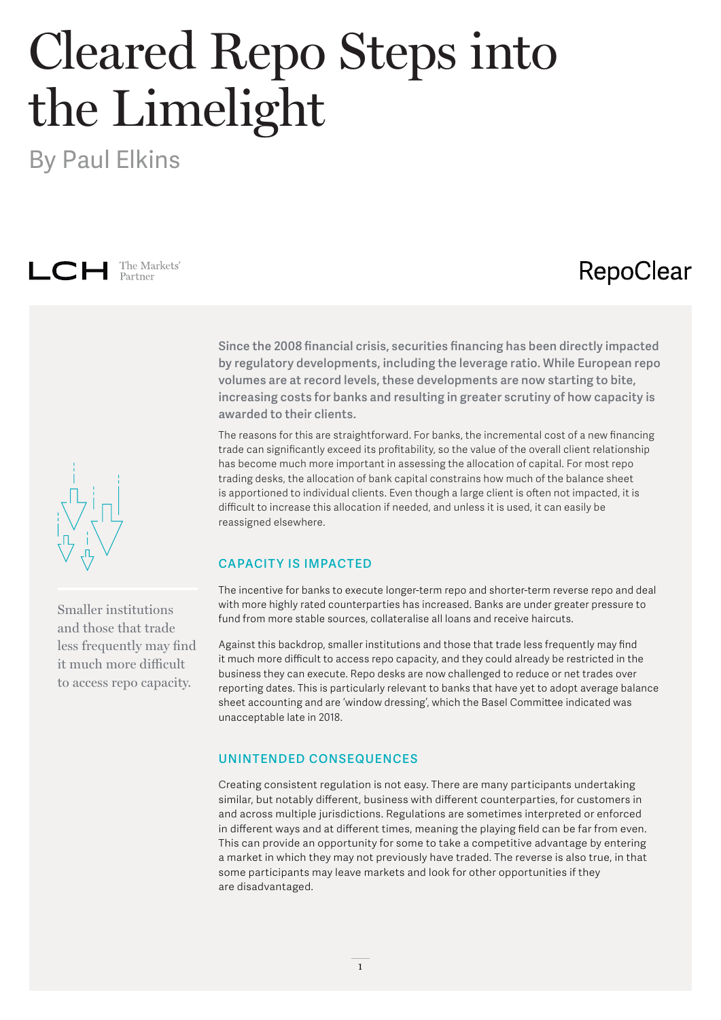# Cleared Repo Steps into the Limelight

By Paul Elkins



### RepoClear

**Since the 2008 financial crisis, securities financing has been directly impacted by regulatory developments, including the leverage ratio. While European repo volumes are at record levels, these developments are now starting to bite, increasing costs for banks and resulting in greater scrutiny of how capacity is awarded to their clients.**

The reasons for this are straightforward. For banks, the incremental cost of a new financing trade can significantly exceed its profitability, so the value of the overall client relationship has become much more important in assessing the allocation of capital. For most repo trading desks, the allocation of bank capital constrains how much of the balance sheet is apportioned to individual clients. Even though a large client is often not impacted, it is difficult to increase this allocation if needed, and unless it is used, it can easily be reassigned elsewhere.

#### **CAPACITY IS IMPACTED**

The incentive for banks to execute longer-term repo and shorter-term reverse repo and deal with more highly rated counterparties has increased. Banks are under greater pressure to fund from more stable sources, collateralise all loans and receive haircuts.

Against this backdrop, smaller institutions and those that trade less frequently may find it much more difficult to access repo capacity, and they could already be restricted in the business they can execute. Repo desks are now challenged to reduce or net trades over reporting dates. This is particularly relevant to banks that have yet to adopt average balance sheet accounting and are 'window dressing', which the Basel Committee indicated was unacceptable late in 2018.

#### **UNINTENDED CONSEQUENCES**

Creating consistent regulation is not easy. There are many participants undertaking similar, but notably different, business with different counterparties, for customers in and across multiple jurisdictions. Regulations are sometimes interpreted or enforced in different ways and at different times, meaning the playing field can be far from even. This can provide an opportunity for some to take a competitive advantage by entering a market in which they may not previously have traded. The reverse is also true, in that some participants may leave markets and look for other opportunities if they are disadvantaged.